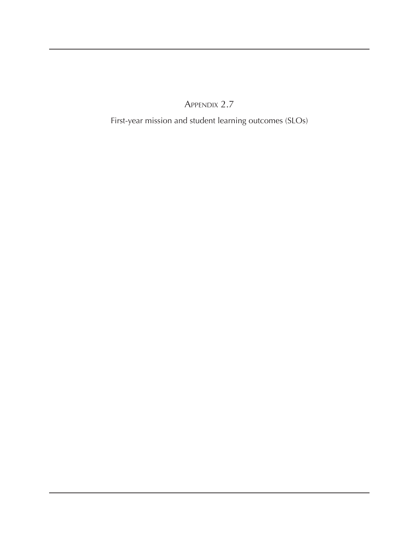Appendix 2.7

First-year mission and student learning outcomes (SLOs)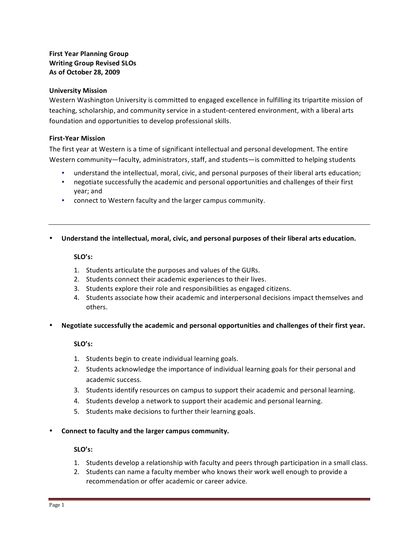# **First Year Planning Group Writing Group Revised SLOs As&of&October&28,&2009**

## **University Mission**

Western Washington University is committed to engaged excellence in fulfilling its tripartite mission of teaching, scholarship, and community service in a student-centered environment, with a liberal arts foundation and opportunities to develop professional skills.

## **First-Year Mission**

The first year at Western is a time of significant intellectual and personal development. The entire Western community—faculty, administrators, staff, and students—is committed to helping students

- understand the intellectual, moral, civic, and personal purposes of their liberal arts education;
- negotiate successfully the academic and personal opportunities and challenges of their first year;!and
- connect to Western faculty and the larger campus community.
- Understand the intellectual, moral, civic, and personal purposes of their liberal arts education.

### **SLO's:**

- 1. Students articulate the purposes and values of the GURs.
- 2. Students connect their academic experiences to their lives.
- 3. Students explore their role and responsibilities as engaged citizens.
- 4. Students associate how their academic and interpersonal decisions impact themselves and others.
- **Negotiate successfully the academic and personal opportunities and challenges of their first year.**

# **SLO's:**

- 1. Students begin to create individual learning goals.
- 2. Students acknowledge the importance of individual learning goals for their personal and academic success.
- 3. Students identify resources on campus to support their academic and personal learning.
- 4. Students develop a network to support their academic and personal learning.
- 5. Students make decisions to further their learning goals.

#### • Connect to faculty and the larger campus community.

#### **SLO's:**

- 1. Students develop a relationship with faculty and peers through participation in a small class.
- 2. Students can name a faculty member who knows their work well enough to provide a recommendation or offer academic or career advice.